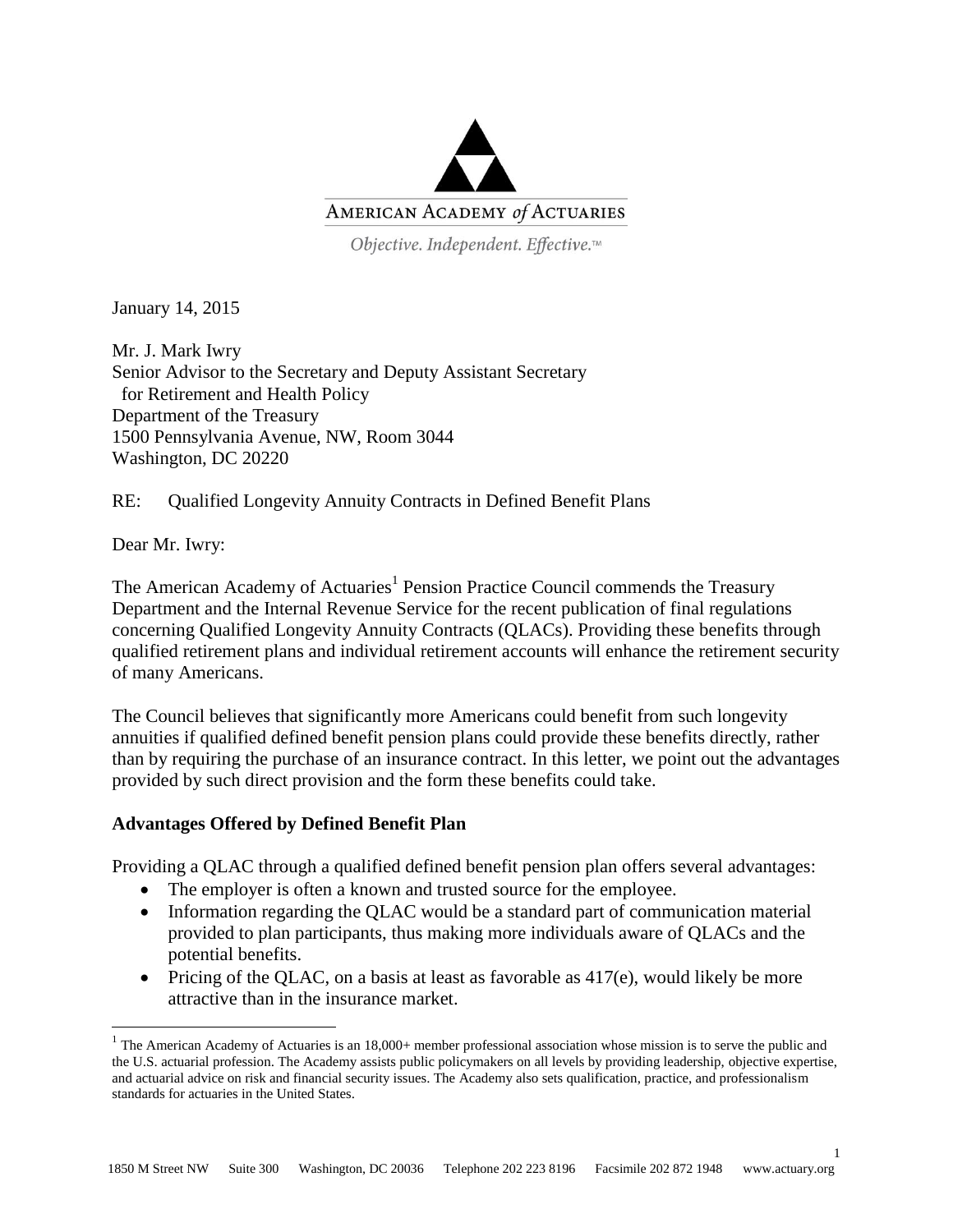

Objective. Independent. Effective.™

January 14, 2015

Mr. J. Mark Iwry Senior Advisor to the Secretary and Deputy Assistant Secretary for Retirement and Health Policy Department of the Treasury 1500 Pennsylvania Avenue, NW, Room 3044 Washington, DC 20220

RE: Qualified Longevity Annuity Contracts in Defined Benefit Plans

Dear Mr. Iwry:

 $\overline{a}$ 

The American Academy of Actuaries<sup>1</sup> Pension Practice Council commends the Treasury Department and the Internal Revenue Service for the recent publication of final regulations concerning Qualified Longevity Annuity Contracts (QLACs). Providing these benefits through qualified retirement plans and individual retirement accounts will enhance the retirement security of many Americans.

The Council believes that significantly more Americans could benefit from such longevity annuities if qualified defined benefit pension plans could provide these benefits directly, rather than by requiring the purchase of an insurance contract. In this letter, we point out the advantages provided by such direct provision and the form these benefits could take.

## **Advantages Offered by Defined Benefit Plan**

Providing a QLAC through a qualified defined benefit pension plan offers several advantages:

- The employer is often a known and trusted source for the employee.
- Information regarding the QLAC would be a standard part of communication material provided to plan participants, thus making more individuals aware of QLACs and the potential benefits.
- Pricing of the QLAC, on a basis at least as favorable as  $417(e)$ , would likely be more attractive than in the insurance market.

1

<sup>&</sup>lt;sup>1</sup> The American Academy of Actuaries is an  $18,000+$  member professional association whose mission is to serve the public and the U.S. actuarial profession. The Academy assists public policymakers on all levels by providing leadership, objective expertise, and actuarial advice on risk and financial security issues. The Academy also sets qualification, practice, and professionalism standards for actuaries in the United States.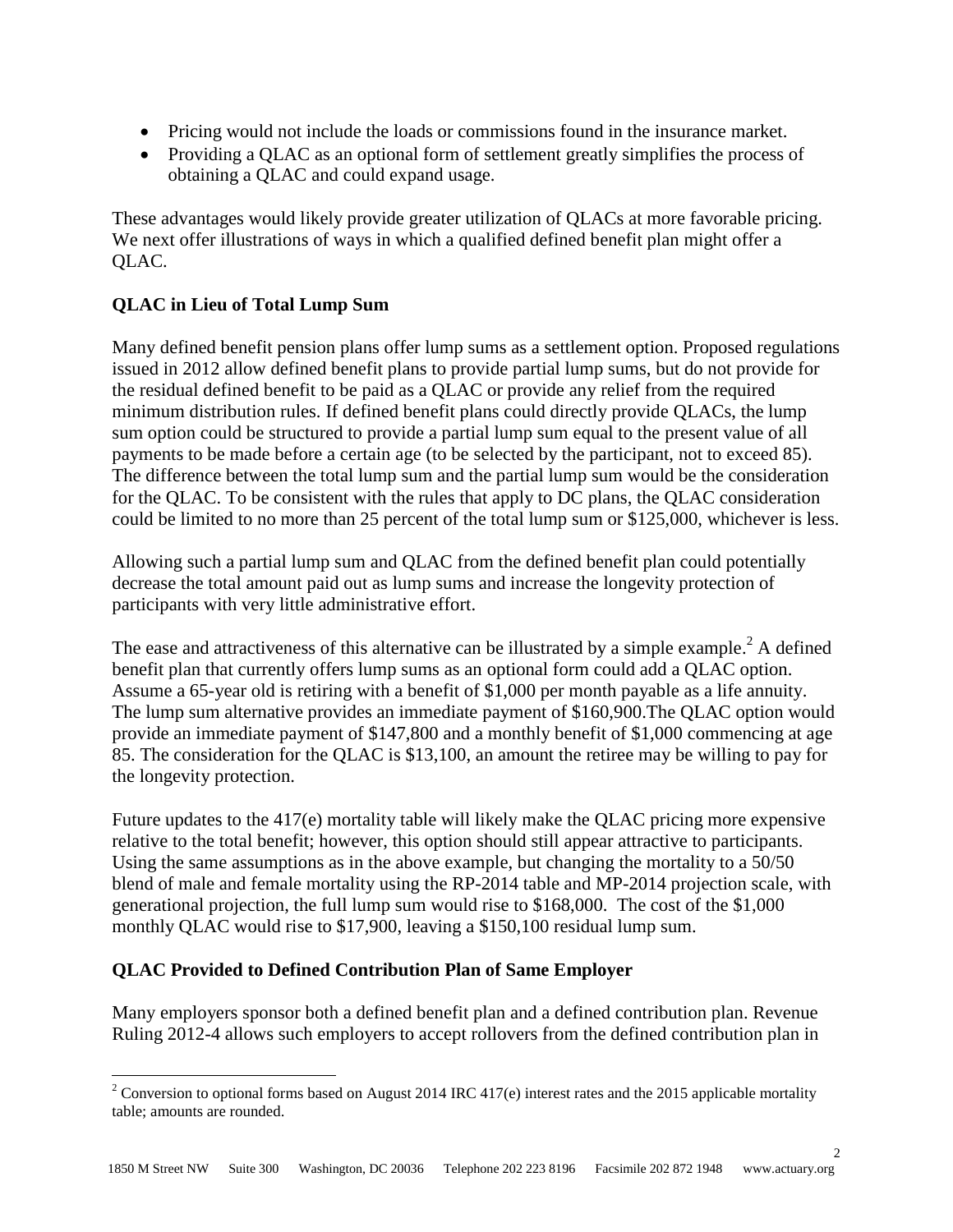- Pricing would not include the loads or commissions found in the insurance market.
- Providing a QLAC as an optional form of settlement greatly simplifies the process of obtaining a QLAC and could expand usage.

These advantages would likely provide greater utilization of QLACs at more favorable pricing. We next offer illustrations of ways in which a qualified defined benefit plan might offer a QLAC.

## **QLAC in Lieu of Total Lump Sum**

Many defined benefit pension plans offer lump sums as a settlement option. Proposed regulations issued in 2012 allow defined benefit plans to provide partial lump sums, but do not provide for the residual defined benefit to be paid as a QLAC or provide any relief from the required minimum distribution rules. If defined benefit plans could directly provide QLACs, the lump sum option could be structured to provide a partial lump sum equal to the present value of all payments to be made before a certain age (to be selected by the participant, not to exceed 85). The difference between the total lump sum and the partial lump sum would be the consideration for the QLAC. To be consistent with the rules that apply to DC plans, the QLAC consideration could be limited to no more than 25 percent of the total lump sum or \$125,000, whichever is less.

Allowing such a partial lump sum and QLAC from the defined benefit plan could potentially decrease the total amount paid out as lump sums and increase the longevity protection of participants with very little administrative effort.

The ease and attractiveness of this alternative can be illustrated by a simple example.<sup>2</sup> A defined benefit plan that currently offers lump sums as an optional form could add a QLAC option. Assume a 65-year old is retiring with a benefit of \$1,000 per month payable as a life annuity. The lump sum alternative provides an immediate payment of \$160,900.The QLAC option would provide an immediate payment of \$147,800 and a monthly benefit of \$1,000 commencing at age 85. The consideration for the QLAC is \$13,100, an amount the retiree may be willing to pay for the longevity protection.

Future updates to the 417(e) mortality table will likely make the QLAC pricing more expensive relative to the total benefit; however, this option should still appear attractive to participants. Using the same assumptions as in the above example, but changing the mortality to a 50/50 blend of male and female mortality using the RP-2014 table and MP-2014 projection scale, with generational projection, the full lump sum would rise to \$168,000. The cost of the \$1,000 monthly QLAC would rise to \$17,900, leaving a \$150,100 residual lump sum.

## **QLAC Provided to Defined Contribution Plan of Same Employer**

 $\overline{a}$ 

Many employers sponsor both a defined benefit plan and a defined contribution plan. Revenue Ruling 2012-4 allows such employers to accept rollovers from the defined contribution plan in

 $\mathcal{L}$ 

<sup>&</sup>lt;sup>2</sup> Conversion to optional forms based on August 2014 IRC 417(e) interest rates and the 2015 applicable mortality table; amounts are rounded.